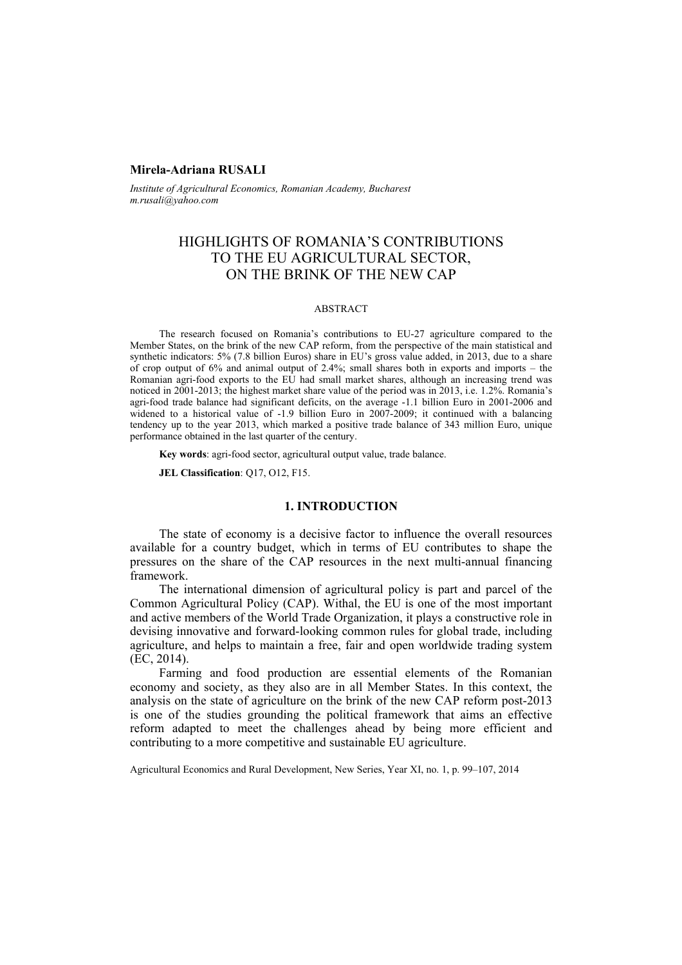# **Mirela-Adriana RUSALI**

*Institute of Agricultural Economics, Romanian Academy, Bucharest m.rusali@yahoo.com* 

# HIGHLIGHTS OF ROMANIA'S CONTRIBUTIONS TO THE EU AGRICULTURAL SECTOR, ON THE BRINK OF THE NEW CAP

#### ABSTRACT

The research focused on Romania's contributions to EU-27 agriculture compared to the Member States, on the brink of the new CAP reform, from the perspective of the main statistical and synthetic indicators: 5% (7.8 billion Euros) share in EU's gross value added, in 2013, due to a share of crop output of  $6\%$  and animal output of 2.4%; small shares both in exports and imports – the Romanian agri-food exports to the EU had small market shares, although an increasing trend was noticed in 2001-2013; the highest market share value of the period was in 2013, i.e. 1.2%. Romania's agri-food trade balance had significant deficits, on the average -1.1 billion Euro in 2001-2006 and widened to a historical value of -1.9 billion Euro in 2007-2009; it continued with a balancing tendency up to the year 2013, which marked a positive trade balance of 343 million Euro, unique performance obtained in the last quarter of the century.

**Key words**: agri-food sector, agricultural output value, trade balance.

**JEL Classification**: Q17, O12, F15.

## **1. INTRODUCTION**

The state of economy is a decisive factor to influence the overall resources available for a country budget, which in terms of EU contributes to shape the pressures on the share of the CAP resources in the next multi-annual financing framework.

The international dimension of agricultural policy is part and parcel of the Common Agricultural Policy (CAP). Withal, the EU is one of the most important and active members of the World Trade Organization, it plays a constructive role in devising innovative and forward-looking common rules for global trade, including agriculture, and helps to maintain a free, fair and open worldwide trading system (EC, 2014).

Farming and food production are essential elements of the Romanian economy and society, as they also are in all Member States. In this context, the analysis on the state of agriculture on the brink of the new CAP reform post-2013 is one of the studies grounding the political framework that aims an effective reform adapted to meet the challenges ahead by being more efficient and contributing to a more competitive and sustainable EU agriculture.

Agricultural Economics and Rural Development, New Series, Year XI, no. 1, p. 99–107, 2014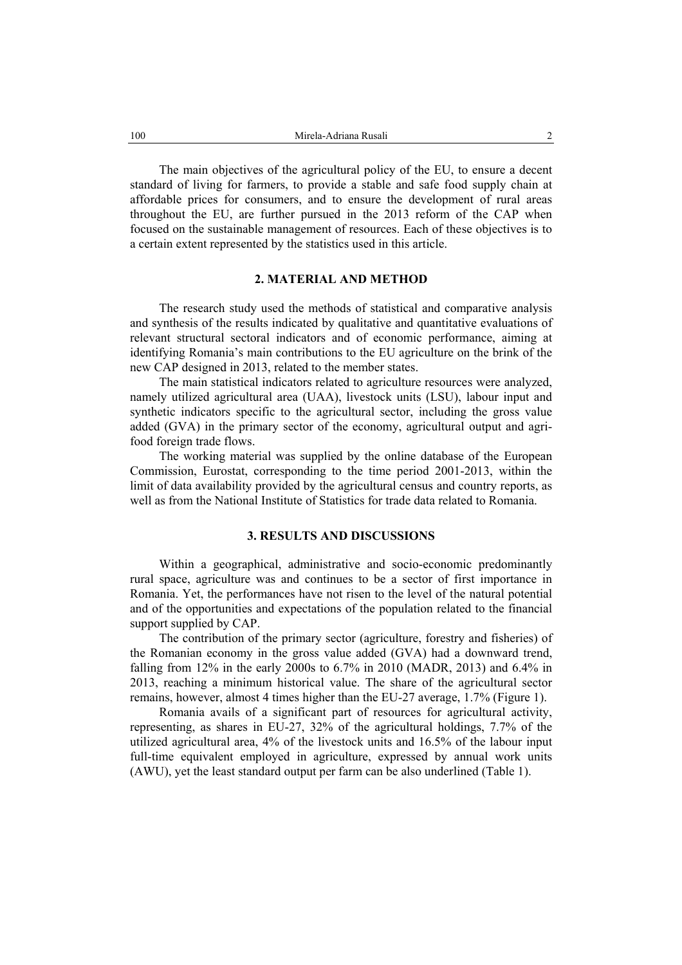The main objectives of the agricultural policy of the EU, to ensure a decent standard of living for farmers, to provide a stable and safe food supply chain at affordable prices for consumers, and to ensure the development of rural areas throughout the EU, are further pursued in the 2013 reform of the CAP when focused on the sustainable management of resources. Each of these objectives is to a certain extent represented by the statistics used in this article.

## **2. MATERIAL AND METHOD**

The research study used the methods of statistical and comparative analysis and synthesis of the results indicated by qualitative and quantitative evaluations of relevant structural sectoral indicators and of economic performance, aiming at identifying Romania's main contributions to the EU agriculture on the brink of the new CAP designed in 2013, related to the member states.

The main statistical indicators related to agriculture resources were analyzed, namely utilized agricultural area (UAA), livestock units (LSU), labour input and synthetic indicators specific to the agricultural sector, including the gross value added (GVA) in the primary sector of the economy, agricultural output and agrifood foreign trade flows.

The working material was supplied by the online database of the European Commission, Eurostat, corresponding to the time period 2001-2013, within the limit of data availability provided by the agricultural census and country reports, as well as from the National Institute of Statistics for trade data related to Romania.

# **3. RESULTS AND DISCUSSIONS**

Within a geographical, administrative and socio-economic predominantly rural space, agriculture was and continues to be a sector of first importance in Romania. Yet, the performances have not risen to the level of the natural potential and of the opportunities and expectations of the population related to the financial support supplied by CAP.

The contribution of the primary sector (agriculture, forestry and fisheries) of the Romanian economy in the gross value added (GVA) had a downward trend, falling from 12% in the early 2000s to 6.7% in 2010 (MADR, 2013) and 6.4% in 2013, reaching a minimum historical value. The share of the agricultural sector remains, however, almost 4 times higher than the EU-27 average, 1.7% (Figure 1).

Romania avails of a significant part of resources for agricultural activity, representing, as shares in EU-27, 32% of the agricultural holdings, 7.7% of the utilized agricultural area, 4% of the livestock units and 16.5% of the labour input full-time equivalent employed in agriculture, expressed by annual work units (AWU), yet the least standard output per farm can be also underlined (Table 1).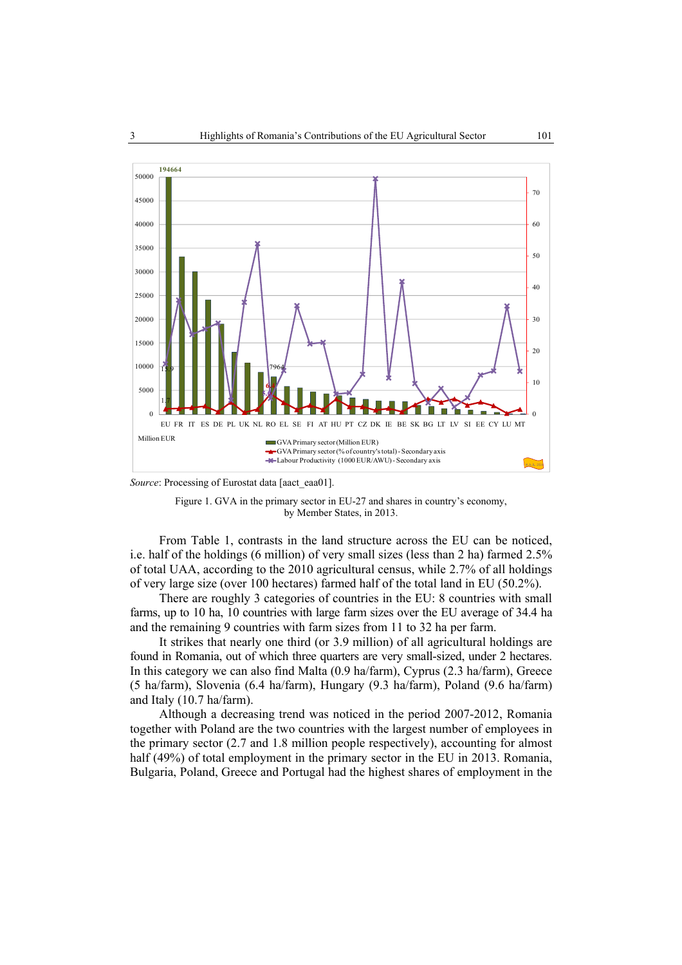

*Source*: Processing of Eurostat data [aact\_eaa01].



From Table 1, contrasts in the land structure across the EU can be noticed, i.e. half of the holdings (6 million) of very small sizes (less than 2 ha) farmed 2.5% of total UAA, according to the 2010 agricultural census, while 2.7% of all holdings of very large size (over 100 hectares) farmed half of the total land in EU (50.2%).

There are roughly 3 categories of countries in the EU: 8 countries with small farms, up to 10 ha, 10 countries with large farm sizes over the EU average of 34.4 ha and the remaining 9 countries with farm sizes from 11 to 32 ha per farm.

It strikes that nearly one third (or 3.9 million) of all agricultural holdings are found in Romania, out of which three quarters are very small-sized, under 2 hectares. In this category we can also find Malta (0.9 ha/farm), Cyprus (2.3 ha/farm), Greece (5 ha/farm), Slovenia (6.4 ha/farm), Hungary (9.3 ha/farm), Poland (9.6 ha/farm) and Italy (10.7 ha/farm).

Although a decreasing trend was noticed in the period 2007-2012, Romania together with Poland are the two countries with the largest number of employees in the primary sector (2.7 and 1.8 million people respectively), accounting for almost half (49%) of total employment in the primary sector in the EU in 2013. Romania, Bulgaria, Poland, Greece and Portugal had the highest shares of employment in the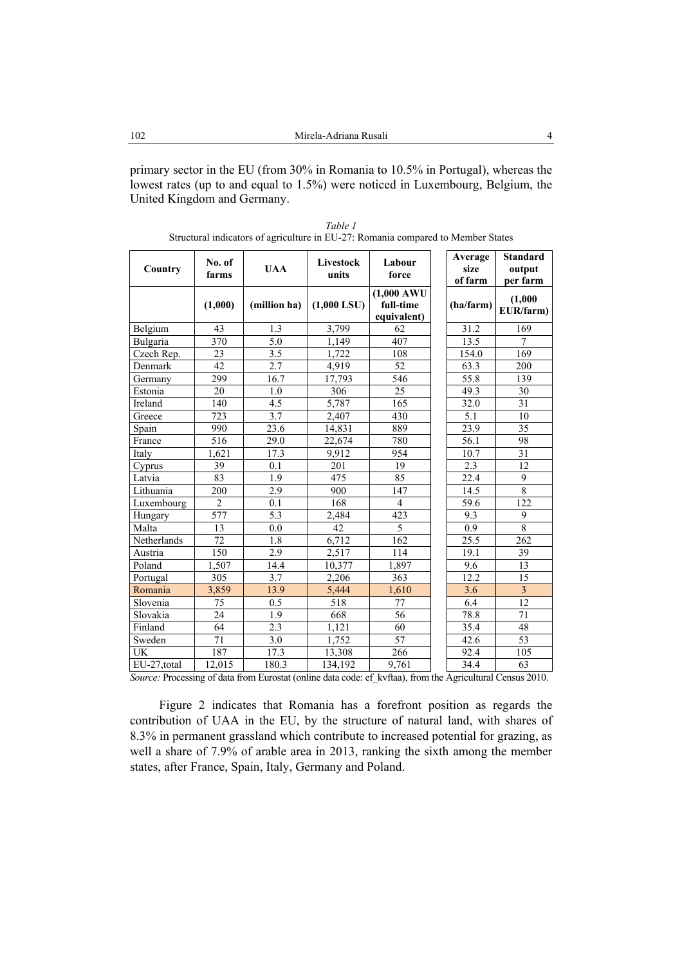primary sector in the EU (from 30% in Romania to 10.5% in Portugal), whereas the lowest rates (up to and equal to 1.5%) were noticed in Luxembourg, Belgium, the United Kingdom and Germany.

|             | No. of           | <b>UAA</b>       | Livestock     | Labour                                            | Average<br>size | <b>Standard</b><br>output |
|-------------|------------------|------------------|---------------|---------------------------------------------------|-----------------|---------------------------|
| Country     | farms            |                  | units         | force                                             | of farm         | per farm                  |
|             | (1,000)          | (million ha)     | $(1,000$ LSU) | $(1,000 \text{ AWU})$<br>full-time<br>equivalent) | (ha/farm)       | (1,000)<br>EUR/farm)      |
| Belgium     | 43               | 1.3              | 3,799         | 62                                                | 31.2            | 169                       |
| Bulgaria    | 370              | 5.0              | 1,149         | 407                                               | 13.5            | 7                         |
| Czech Rep.  | 23               | 3.5              | 1,722         | 108                                               | 154.0           | 169                       |
| Denmark     | 42               | $2.\overline{7}$ | 4,919         | $\overline{52}$                                   | 63.3            | 200                       |
| Germany     | 299              | 16.7             | 17,793        | 546                                               | 55.8            | 139                       |
| Estonia     | 20               | 1.0              | 306           | $\overline{25}$                                   | 49.3            | 30                        |
| Ireland     | 140              | 4.5              | 5,787         | 165                                               | 32.0            | 31                        |
| Greece      | 723              | 3.7              | 2,407         | 430                                               | 5.1             | 10                        |
| Spain       | 990              | 23.6             | 14,831        | 889                                               | 23.9            | 35                        |
| France      | 516              | 29.0             | 22,674        | 780                                               | 56.1            | 98                        |
| Italy       | 1,621            | 17.3             | 9,912         | 954                                               | 10.7            | 31                        |
| Cyprus      | 39               | 0.1              | 201           | 19                                                | 2.3             | 12                        |
| Latvia      | 83               | $\overline{1.9}$ | 475           | 85                                                | 22.4            | $\overline{9}$            |
| Lithuania   | 200              | 2.9              | 900           | 147                                               | 14.5            | 8                         |
| Luxembourg  | $\overline{2}$   | 0.1              | 168           | $\overline{4}$                                    | 59.6            | 122                       |
| Hungary     | 577              | 5.3              | 2,484         | 423                                               | 9.3             | 9                         |
| Malta       | 13               | 0.0              | 42            | $\overline{5}$                                    | 0.9             | $\overline{8}$            |
| Netherlands | 72               | 1.8              | 6,712         | 162                                               | 25.5            | 262                       |
| Austria     | $\overline{150}$ | 2.9              | 2,517         | 114                                               | 19.1            | 39                        |
| Poland      | 1,507            | 14.4             | 10,377        | 1,897                                             | 9.6             | 13                        |
| Portugal    | 305              | 3.7              | 2,206         | 363                                               | 12.2            | 15                        |
| Romania     | 3,859            | 13.9             | 5,444         | 1,610                                             | 3.6             | $\overline{\mathbf{3}}$   |
| Slovenia    | 75               | 0.5              | 518           | 77                                                | 6.4             | 12                        |
| Slovakia    | 24               | 1.9              | 668           | 56                                                | 78.8            | 71                        |
| Finland     | 64               | 2.3              | 1,121         | 60                                                | 35.4            | 48                        |
| Sweden      | 71               | $\overline{3.0}$ | 1,752         | 57                                                | 42.6            | 53                        |
| UK          | 187              | 17.3             | 13,308        | 266                                               | 92.4            | 105                       |
| EU-27,total | 12,015           | 180.3            | 134,192       | 9,761                                             | 34.4            | 63                        |

*Table 1*  Structural indicators of agriculture in EU-27: Romania compared to Member States

*Source:* Processing of data from Eurostat (online data code: ef\_kvftaa), from the Agricultural Census 2010.

Figure 2 indicates that Romania has a forefront position as regards the contribution of UAA in the EU, by the structure of natural land, with shares of 8.3% in permanent grassland which contribute to increased potential for grazing, as well a share of 7.9% of arable area in 2013, ranking the sixth among the member states, after France, Spain, Italy, Germany and Poland.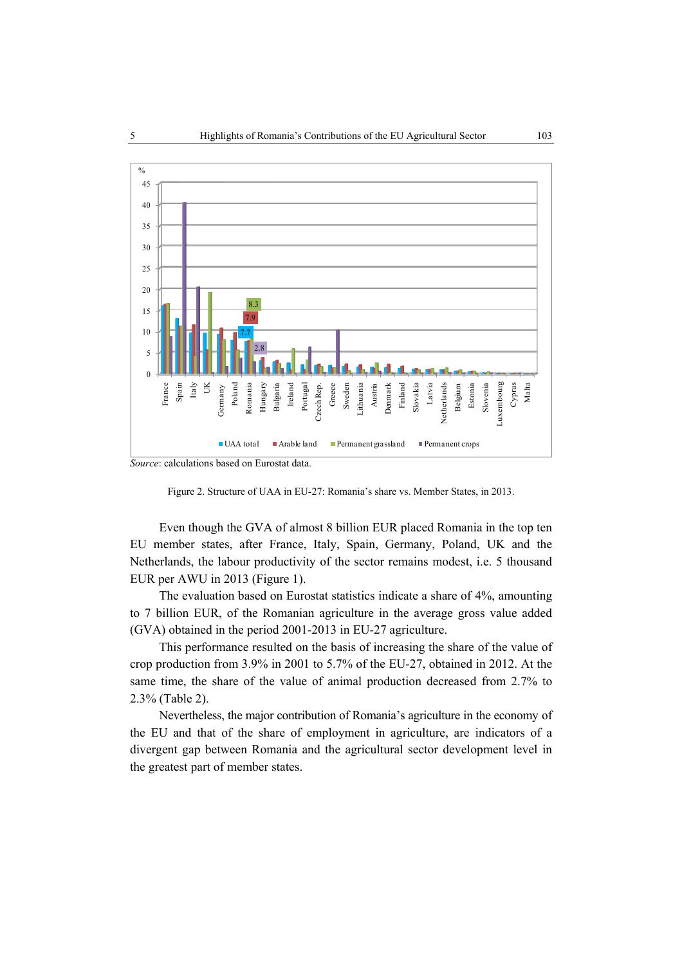

*Source*: calculations based on Eurostat data.

Figure 2. Structure of UAA in EU-27: Romania's share vs. Member States, in 2013.

Even though the GVA of almost 8 billion EUR placed Romania in the top ten EU member states, after France, Italy, Spain, Germany, Poland, UK and the Netherlands, the labour productivity of the sector remains modest, i.e. 5 thousand EUR per AWU in 2013 (Figure 1).

The evaluation based on Eurostat statistics indicate a share of 4%, amounting to 7 billion EUR, of the Romanian agriculture in the average gross value added (GVA) obtained in the period 2001-2013 in EU-27 agriculture.

This performance resulted on the basis of increasing the share of the value of crop production from 3.9% in 2001 to 5.7% of the EU-27, obtained in 2012. At the same time, the share of the value of animal production decreased from 2.7% to 2.3% (Table 2).

Nevertheless, the major contribution of Romania's agriculture in the economy of the EU and that of the share of employment in agriculture, are indicators of a divergent gap between Romania and the agricultural sector development level in the greatest part of member states.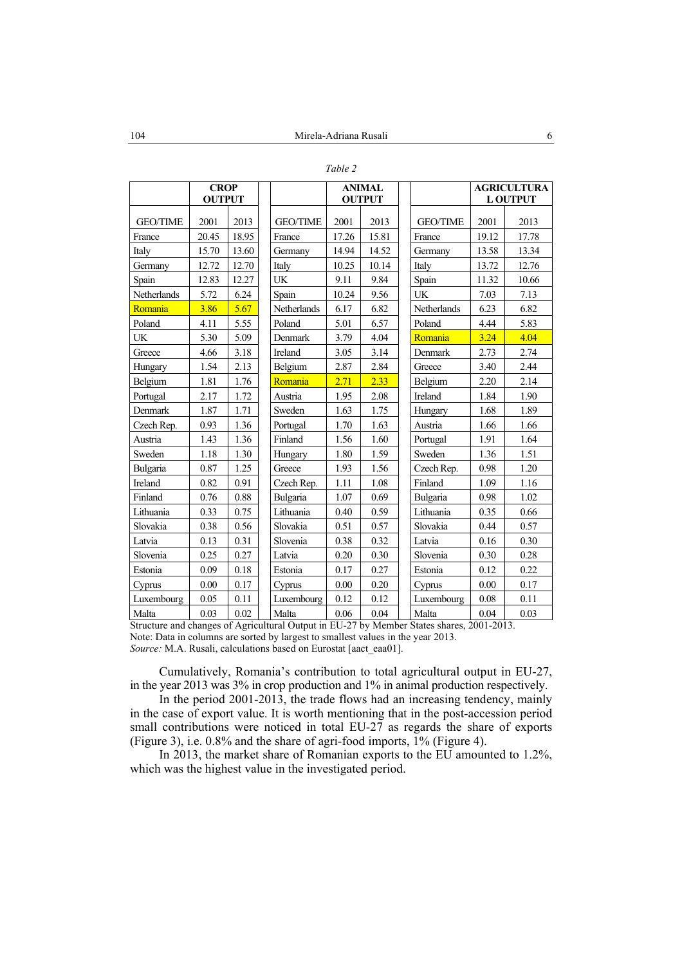| ۰,<br>٦ |  |
|---------|--|
|---------|--|

|                 | <b>CROP</b><br><b>OUTPUT</b> |       |                 | <b>ANIMAL</b><br><b>OUTPUT</b> |          |                 | <b>AGRICULTURA</b><br><b>L OUTPUT</b> |       |
|-----------------|------------------------------|-------|-----------------|--------------------------------|----------|-----------------|---------------------------------------|-------|
|                 |                              |       |                 |                                |          |                 |                                       |       |
| <b>GEO/TIME</b> | 2001                         | 2013  | <b>GEO/TIME</b> | 2001                           | 2013     | <b>GEO/TIME</b> | 2001                                  | 2013  |
| France          | 20.45                        | 18.95 | France          | 17.26                          | 15.81    | France          | 19.12                                 | 17.78 |
| Italy           | 15.70                        | 13.60 | Germany         | 14.94                          | 14.52    | Germany         | 13.58                                 | 13.34 |
| Germany         | 12.72                        | 12.70 | Italy           | 10.25                          | 10.14    | Italy           | 13.72                                 | 12.76 |
| Spain           | 12.83                        | 12.27 | UK              | 9.11                           | 9.84     | Spain           | 11.32                                 | 10.66 |
| Netherlands     | 5.72                         | 6.24  | Spain           | 10.24                          | 9.56     | <b>UK</b>       | 7.03                                  | 7.13  |
| Romania         | 3.86                         | 5.67  | Netherlands     | 6.17                           | 6.82     | Netherlands     | 6.23                                  | 6.82  |
| Poland          | 4.11                         | 5.55  | Poland          | 5.01                           | 6.57     | Poland          | 4.44                                  | 5.83  |
| UK              | 5.30                         | 5.09  | Denmark         | 3.79                           | 4.04     | Romania         | 3.24                                  | 4.04  |
| Greece          | 4.66                         | 3.18  | Ireland         | 3.05                           | 3.14     | Denmark         | 2.73                                  | 2.74  |
| Hungary         | 1.54                         | 2.13  | Belgium         | 2.87                           | 2.84     | Greece          | 3.40                                  | 2.44  |
| Belgium         | 1.81                         | 1.76  | Romania         | 2.71                           | 2.33     | Belgium         | 2.20                                  | 2.14  |
| Portugal        | 2.17                         | 1.72  | Austria         | 1.95                           | 2.08     | Ireland         | 1.84                                  | 1.90  |
| Denmark         | 1.87                         | 1.71  | Sweden          | 1.63                           | 1.75     | Hungary         | 1.68                                  | 1.89  |
| Czech Rep.      | 0.93                         | 1.36  | Portugal        | 1.70                           | 1.63     | Austria         | 1.66                                  | 1.66  |
| Austria         | 1.43                         | 1.36  | Finland         | 1.56                           | 1.60     | Portugal        | 1.91                                  | 1.64  |
| Sweden          | 1.18                         | 1.30  | Hungary         | 1.80                           | 1.59     | Sweden          | 1.36                                  | 1.51  |
| Bulgaria        | 0.87                         | 1.25  | Greece          | 1.93                           | 1.56     | Czech Rep.      | 0.98                                  | 1.20  |
| Ireland         | 0.82                         | 0.91  | Czech Rep.      | 1.11                           | 1.08     | Finland         | 1.09                                  | 1.16  |
| Finland         | 0.76                         | 0.88  | Bulgaria        | 1.07                           | 0.69     | Bulgaria        | 0.98                                  | 1.02  |
| Lithuania       | 0.33                         | 0.75  | Lithuania       | 0.40                           | 0.59     | Lithuania       | 0.35                                  | 0.66  |
| Slovakia        | 0.38                         | 0.56  | Slovakia        | 0.51                           | 0.57     | Slovakia        | 0.44                                  | 0.57  |
| Latvia          | 0.13                         | 0.31  | Slovenia        | 0.38                           | 0.32     | Latvia          | 0.16                                  | 0.30  |
| Slovenia        | 0.25                         | 0.27  | Latvia          | 0.20                           | 0.30     | Slovenia        | 0.30                                  | 0.28  |
| Estonia         | 0.09                         | 0.18  | Estonia         | 0.17                           | 0.27     | Estonia         | 0.12                                  | 0.22  |
| Cyprus          | 0.00                         | 0.17  | Cyprus          | 0.00                           | 0.20     | Cyprus          | 0.00                                  | 0.17  |
| Luxembourg      | 0.05                         | 0.11  | Luxembourg      | 0.12                           | 0.12     | Luxembourg      | 0.08                                  | 0.11  |
| Malta           | 0.03                         | 0.02  | Malta           | 0.06                           | $0.04\,$ | Malta           | 0.04                                  | 0.03  |

Structure and changes of Agricultural Output in EU-27 by Member States shares, 2001-2013. Note: Data in columns are sorted by largest to smallest values in the year 2013.

*Source:* M.A. Rusali, calculations based on Eurostat [aact\_eaa01].

Cumulatively, Romania's contribution to total agricultural output in EU-27, in the year 2013 was 3% in crop production and 1% in animal production respectively.

In the period 2001-2013, the trade flows had an increasing tendency, mainly in the case of export value. It is worth mentioning that in the post-accession period small contributions were noticed in total EU-27 as regards the share of exports (Figure 3), i.e. 0.8% and the share of agri-food imports, 1% (Figure 4).

In 2013, the market share of Romanian exports to the EU amounted to 1.2%, which was the highest value in the investigated period.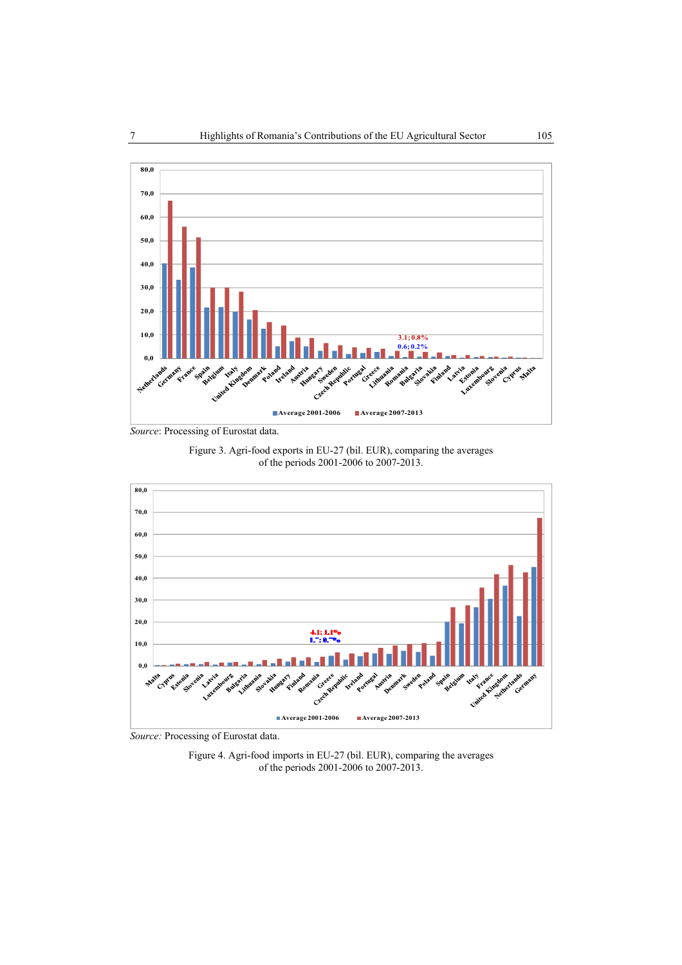

*Source*: Processing of Eurostat data.





*Source:* Processing of Eurostat data.

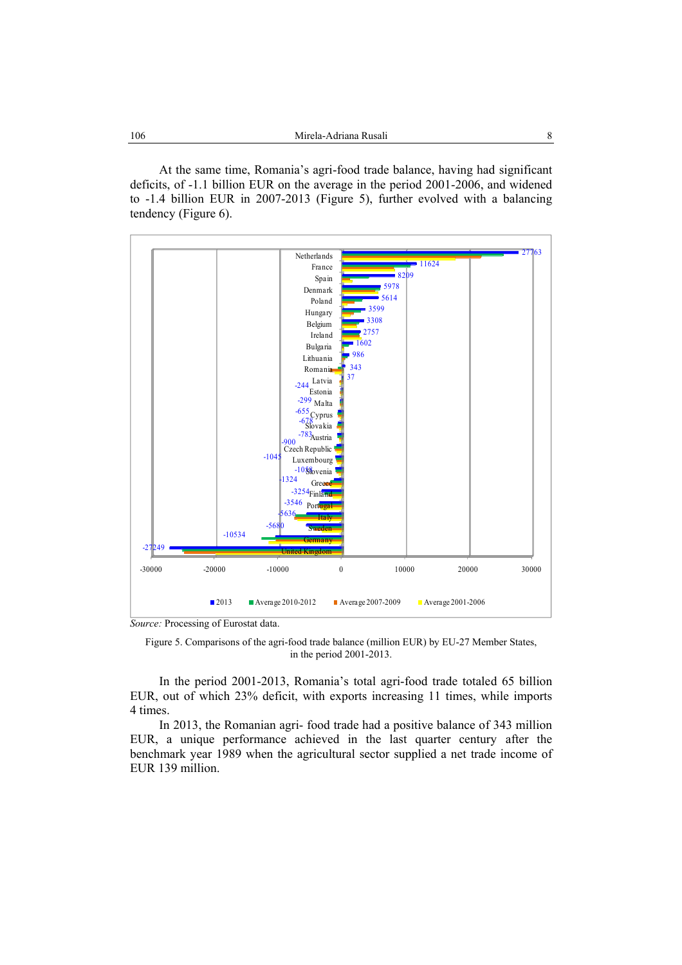At the same time, Romania's agri-food trade balance, having had significant deficits, of -1.1 billion EUR on the average in the period 2001-2006, and widened to -1.4 billion EUR in 2007-2013 (Figure 5), further evolved with a balancing tendency (Figure 6).



*Source:* Processing of Eurostat data.

Figure 5. Comparisons of the agri-food trade balance (million EUR) by EU-27 Member States, in the period 2001-2013.

In the period 2001-2013, Romania's total agri-food trade totaled 65 billion EUR, out of which 23% deficit, with exports increasing 11 times, while imports 4 times.

In 2013, the Romanian agri- food trade had a positive balance of 343 million EUR, a unique performance achieved in the last quarter century after the benchmark year 1989 when the agricultural sector supplied a net trade income of EUR 139 million.